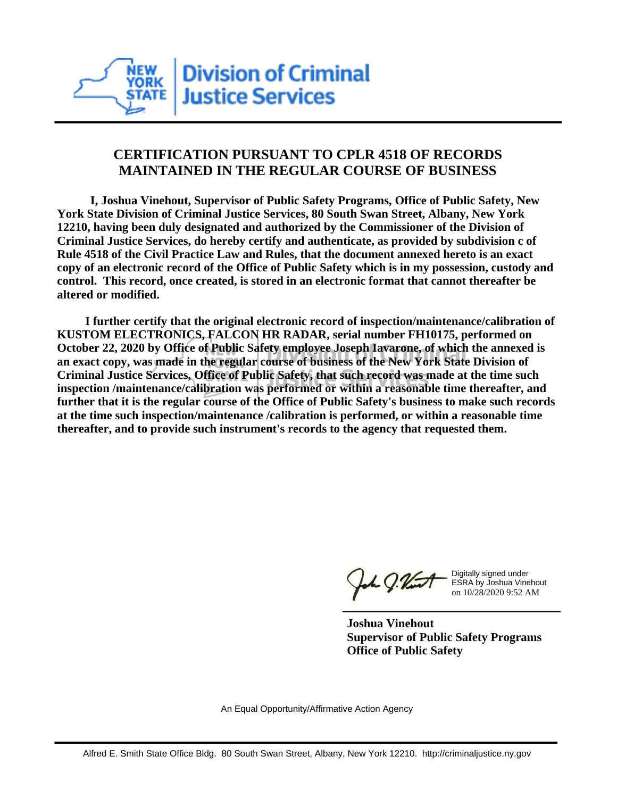

## **CERTIFICATION PURSUANT TO CPLR 4518 OF RECORDS MAINTAINED IN THE REGULAR COURSE OF BUSINESS**

 **I, Joshua Vinehout, Supervisor of Public Safety Programs, Office of Public Safety, New York State Division of Criminal Justice Services, 80 South Swan Street, Albany, New York 12210, having been duly designated and authorized by the Commissioner of the Division of Criminal Justice Services, do hereby certify and authenticate, as provided by subdivision c of Rule 4518 of the Civil Practice Law and Rules, that the document annexed hereto is an exact copy of an electronic record of the Office of Public Safety which is in my possession, custody and control. This record, once created, is stored in an electronic format that cannot thereafter be altered or modified.**

 **I further certify that the original electronic record of inspection/maintenance/calibration of KUSTOM ELECTRONICS, FALCON HR RADAR, serial number FH10175, performed on October 22, 2020 by Office of Public Safety employee Joseph Iavarone, of which the annexed is an exact copy, was made in the regular course of business of the New York State Division of Criminal Justice Services, Office of Public Safety, that such record was made at the time such inspection /maintenance/calibration was performed or within a reasonable time thereafter, and further that it is the regular course of the Office of Public Safety's business to make such records at the time such inspection/maintenance /calibration is performed, or within a reasonable time thereafter, and to provide such instrument's records to the agency that requested them.**

h J.Vint

Digitally signed under ESRA by Joshua Vinehout on 10/28/2020 9:52 AM

**Joshua Vinehout Supervisor of Public Safety Programs Office of Public Safety**

An Equal Opportunity/Affirmative Action Agency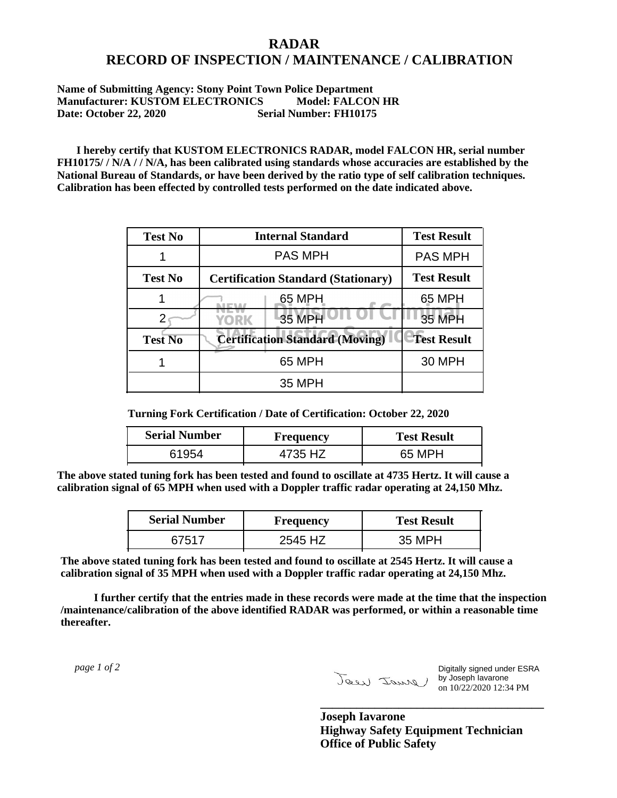## **RADAR RECORD OF INSPECTION / MAINTENANCE / CALIBRATION**

## **Name of Submitting Agency: Stony Point Town Police Department Manufacturer: KUSTOM ELECTRONICS Model: FALCON HR Date: October 22, 2020 Serial Number: FH10175**

 **I hereby certify that KUSTOM ELECTRONICS RADAR, model FALCON HR, serial number FH10175/ / N/A / / N/A, has been calibrated using standards whose accuracies are established by the National Bureau of Standards, or have been derived by the ratio type of self calibration techniques. Calibration has been effected by controlled tests performed on the date indicated above.**

| <b>Test No</b> | <b>Internal Standard</b>                   | <b>Test Result</b> |
|----------------|--------------------------------------------|--------------------|
|                | <b>PAS MPH</b>                             | <b>PAS MPH</b>     |
| <b>Test No</b> | <b>Certification Standard (Stationary)</b> | <b>Test Result</b> |
|                | 65 MPH                                     | 65 MPH             |
|                | 35 MPH<br><b>YORK</b>                      | <b>35 MPH</b>      |
| <b>Test No</b> | <b>Certification Standard (Moving)</b>     | <b>Test Result</b> |
|                | 65 MPH                                     | <b>30 MPH</b>      |
|                | 35 MPH                                     |                    |

**Turning Fork Certification / Date of Certification: October 22, 2020**

| <b>Serial Number</b> | Frequency | <b>Test Result</b> |
|----------------------|-----------|--------------------|
|                      | 4735 HZ   | 65 MPH             |

**The above stated tuning fork has been tested and found to oscillate at 4735 Hertz. It will cause a calibration signal of 65 MPH when used with a Doppler traffic radar operating at 24,150 Mhz.**

| <b>Serial Number</b> | Frequency | <b>Test Result</b> |
|----------------------|-----------|--------------------|
| 67517                | 2545 HZ   | 35 MPH             |

**The above stated tuning fork has been tested and found to oscillate at 2545 Hertz. It will cause a calibration signal of 35 MPH when used with a Doppler traffic radar operating at 24,150 Mhz.**

 **I further certify that the entries made in these records were made at the time that the inspection /maintenance/calibration of the above identified RADAR was performed, or within a reasonable time thereafter.**

 *page 1 of 2* 

Digitally signed under ESRA by Joseph Iavarone on 10/22/2020 12:34 PM

**Joseph Iavarone Highway Safety Equipment Technician Office of Public Safety**

**\_\_\_\_\_\_\_\_\_\_\_\_\_\_\_\_\_\_\_\_\_\_\_\_\_\_\_\_\_\_\_\_\_\_\_\_\_**